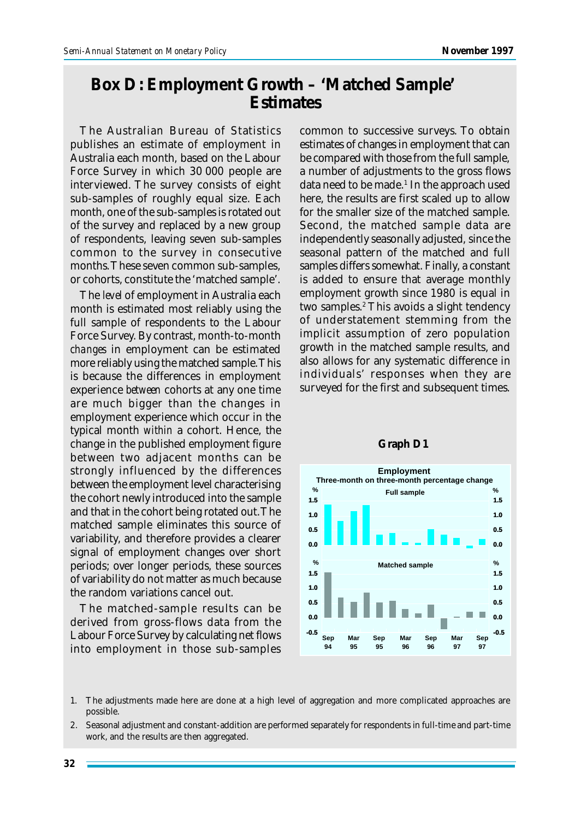## **Box D: Employment Growth – 'Matched Sample' Estimates**

The Australian Bureau of Statistics publishes an estimate of employment in Australia each month, based on the Labour Force Survey in which 30 000 people are interviewed. The survey consists of eight sub-samples of roughly equal size. Each month, one of the sub-samples is rotated out of the survey and replaced by a new group of respondents, leaving seven sub-samples common to the survey in consecutive months. These seven common sub-samples, or cohorts, constitute the 'matched sample'.

The *level* of employment in Australia each month is estimated most reliably using the full sample of respondents to the Labour Force Survey. By contrast, month-to-month *changes* in employment can be estimated more reliably using the matched sample. This is because the differences in employment experience *between* cohorts at any one time are much bigger than the changes in employment experience which occur in the typical month *within* a cohort. Hence, the change in the published employment figure between two adjacent months can be strongly influenced by the differences between the employment level characterising the cohort newly introduced into the sample and that in the cohort being rotated out. The matched sample eliminates this source of variability, and therefore provides a clearer signal of employment changes over short periods; over longer periods, these sources of variability do not matter as much because the random variations cancel out.

The matched-sample results can be derived from gross-flows data from the Labour Force Survey by calculating net flows into employment in those sub-samples

common to successive surveys. To obtain estimates of changes in employment that can be compared with those from the full sample, a number of adjustments to the gross flows data need to be made.<sup>1</sup> In the approach used here, the results are first scaled up to allow for the smaller size of the matched sample. Second, the matched sample data are independently seasonally adjusted, since the seasonal pattern of the matched and full samples differs somewhat. Finally, a constant is added to ensure that average monthly employment growth since 1980 is equal in two samples.<sup>2</sup> This avoids a slight tendency of understatement stemming from the implicit assumption of zero population growth in the matched sample results, and also allows for any systematic difference in individuals' responses when they are surveyed for the first and subsequent times.



## **Graph D1**

- 1. The adjustments made here are done at a high level of aggregation and more complicated approaches are possible.
- 2. Seasonal adjustment and constant-addition are performed separately for respondents in full-time and part-time work, and the results are then aggregated.